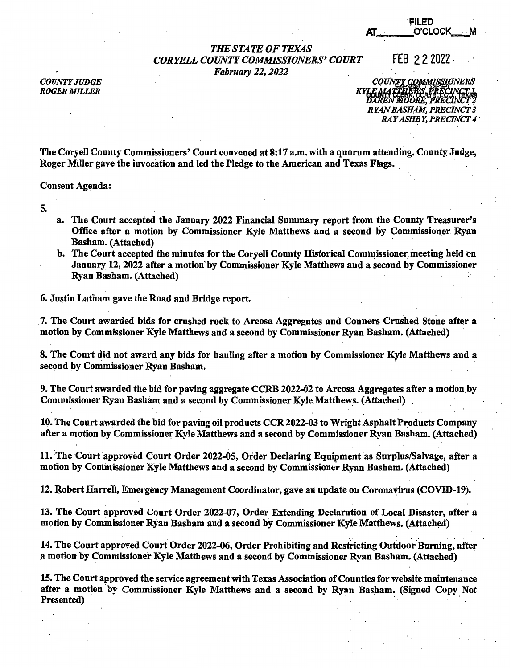'FILED<br>''AT\_\_\_\_\_\_\_\_O'CLOCK\_\_\_\_M

## *THE STATE OF TEXAS CORYELL COUNTY COMMISSIONERS' COURT* FEB 2 2 2022 · *February 22, 2022*

*COUNTY JUDGE* 

*COUNTY JUDGE*<br>*ROGER MILLER ROGER MILLER*<br>*ROGER MILLER PRECINCT? RY,1.JV BASHAM, PRECINCT 3 RAY ASHBY, PRECINCT 4* ·

The Coryell County Commjssjoners' Court convened at 8:17 a.m. with a quorum attending. County Judge, Roger Miller gave the invocation and led the Pledge to the American and Texas Flags.

Consent Agenda:

5.

- a. The Court accepted the January 2022 Financial Summary report from the County Treasurer's Office after a motion by Commissioner Kyle Matthews and a second by Commissioner. Ryan Basham. (Attached)
- b. The Court accepted the minutes for the Coryell County Historical Commissioner meeting held on January 12, 2022 after a motion by Commissioner Kyle Matthews and a second by Commissioner Ryan Basham. (Attached)

6. Justin Latham gave the Road and Bridge report.

7. The Court awarded bids for crushed rock to Arcosa Aggregates and Conners Crushed Stone after a motion by Commissioner Kyle Matthews and a second by Commissioner Ryan Basham. (Attached) ·

8. The Court did not award\_ any bids for hauling after a motion by Commissioner Kyle Matthews and a second by Commissioner Ryan Basham.

9. The Court awarded the bid for paving aggregate CCRB 2022-02 to Arcosa Aggregates after a motion by Commissioner Ryan Basham and a second by Commissioner Kyle Matthews. (Attached)

10. The Court awarded the bid for paving oil products CCR 2022-03 to Wright Asphalt Products Company after a motion by Commissioner Kyle Matthews and a second by Commissioner Ryan Basham. (Attached)

11. The Court approved Court Order 2022-05, Order Declaring Equipment as Surplus/Salvage, after a motion by Commissioner Kyle Matthews and a second by Commissioner Ryan Basham. (Attached)

12. Robert Harrell, Emergency Management Coordinator, gave an update on Coronavirus (COVID-19).

13. The Court approved Court Order 2022-07, Order Extending Declaration of Local Disaster, after a motion by Commissioner Ryan Basham and a second by Commissioner Kyle Matthews. (Attach~)

14. The Court approved Court Order 2022-06, Order Prohibiting and Restricting Outdoor Burning, after a motion by Commissioner Kyle Matthews and a second by Commissioner Ryan Basham. (Attached)

15. The Court approved the service agreement with Texas Association of Counties for website maintenance . after a motion by Commissioner Kyle Matthews and a second by Ryan Basham. (Signed Copy Not Presented)